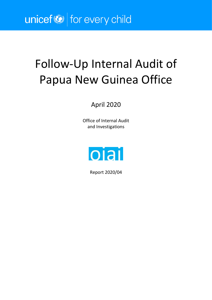# unicef<sup>®</sup> for every child

# Follow-Up Internal Audit of Papua New Guinea Office

## April 2020

Office of Internal Audit and Investigations



Report 2020/04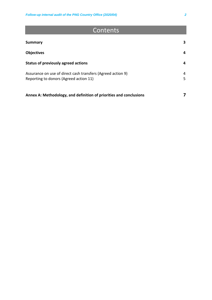## Contents

| <b>Summary</b>                                                                                        | 3      |
|-------------------------------------------------------------------------------------------------------|--------|
| <b>Objectives</b>                                                                                     | 4      |
| <b>Status of previously agreed actions</b>                                                            | 4      |
| Assurance on use of direct cash transfers (Agreed action 9)<br>Reporting to donors (Agreed action 11) | 4<br>5 |
| Annex A: Methodology, and definition of priorities and conclusions                                    |        |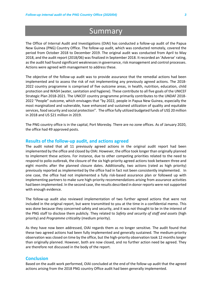# **Summary**

The Office of Internal Audit and Investigations (OIAI) has conducted a follow-up audit of the Papua New Guinea (PNG) Country Office. The follow-up audit, which was conducted remotely, covered the period from October 2018 to December 2019. The original audit was conducted from April to May 2018, and the audit report (2018/06) was finalized in September 2018. It recorded an 'Adverse' rating, as the audit had found significant weaknesses in governance, risk management and control processes. Actions were agreed with management to address these.

The objective of the follow-up audit was to provide assurance that the remedial actions had been implemented and to assess the risk of not implementing any previously agreed actions. The 2018- 2022 country programme is comprised of five outcome areas, in health, nutrition, education, child protection and WASH (water, sanitation and hygiene). These contribute to all five goals of the UNICEF Strategic Plan 2018-2021. The UNICEF country programme primarily contributes to the UNDAF 2018- 2022 "People" outcome, which envisages that "by 2022, people in Papua New Guinea, especially the most marginalized and vulnerable, have enhanced and sustained utilization of quality and equitable services, food security and social protection". The office fully utilized budgeted funds of US\$ 20 million in 2018 and US \$21 million in 2019.

The PNG country office is in the capital, Port Moresby. There are no zone offices. As of January 2020, the office had 49 approved posts.

#### **Results of the follow-up audit, and actions agreed**

The audit noted that all 11 previously agreed actions in the original audit report had been implemented by the office and closed by OIAI. However, the office took longer than originally planned to implement these actions. For instance, due to other competing priorities related to the need to respond to polio outbreak, the closure of the six high-priority agreed actions took between three and eight months after the planned closure dates. Additionally, two actions (rated as high priority) previously reported as implemented by the office had in fact not been consistently implemented. In one case, the office had not implemented a fully risk-based assurance plan or followed up with implementing partners to make sure high-priority recommendations arising from assurance activities had been implemented. In the second case, the results described in donor reports were not supported with enough evidence.

The follow-up audit also reviewed implementation of two further agreed actions that were not included in the original report, but were transmitted to you at the time in a confidential memo. This was done because they concerned safety and security, and it was not thought to be in the interest of the PNG staff to disclose them publicly. They related to *Safety and security of staff and assets* (high priority) and *Programme criticality* (medium priority).

As they have now been addressed, OIAI regards them as no longer sensitive. The audit found that these two agreed actions had been fully implemented and generally sustained. The medium-priority observation was closed on time by the office, but the high-priority observation took 12 months longer than originally planned. However, both are now closed, and no further action need be agreed. They are therefore not discussed in the body of the report.

#### **Conclusion**

Based on the audit work performed, OIAI concluded at the end of the follow-up audit that the agreed actions arising from the 2018 PNG country Office audit had been generally implemented.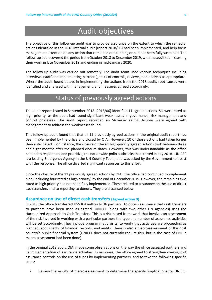# Audit objectives

The objective of this follow-up audit was to provide assurance on the extent to which the remedial actions identified in the 2018 internal audit (report 2018/06) had been implemented, and help focus management attention on any action that remained outstanding or had not been fully sustained. The follow-up audit covered the period from October 2018 to December 2019, with the audit team starting their work in late November 2019 and ending in mid-January 2020.

The follow-up audit was carried out remotely. The audit team used various techniques including interviews (staff and implementing partners), tests of controls, reviews, and analysis as appropriate. Where the audit found delays in implementing the actions from the 2018 audit, root causes were identified and analysed with management, and measures agreed accordingly.

### Status of previously agreed actions

The audit report issued in September 2018 (2018/06) identified 11 agreed actions. Six were rated as high priority, as the audit had found significant weaknesses in governance, risk management and control processes. The audit report recorded an 'Adverse' rating. Actions were agreed with management to address the weaknesses found.

This follow-up audit found that that all 11 previously agreed actions in the original audit report had been implemented by the office and closed by OIAI. However, 10 of those actions had taken longer than anticipated. For instance, the closure of the six high-priority agreed actions took between three and eight months after the planned closure dates. However, this was understandable as the office needed to respond to, and prioritize, the nationwide polio outbreaks thatstarted in July 2018. UNICEF is a leading Emergency Agency in the UN Country Team, and was asked by the Government to assist with the response. The office diverted significant resources to this effort.

Since the closure of the 11 previously agreed actions by OIAI, the office had continued to implement nine (including four rated as high priority) by the end of December 2019. However, the remaining two rated as high priority had not been fully implemented. These related to assurance on the use of direct cash transfers and to reporting to donors. They are discussed below.

#### **Assurance on use of direct cash transfers (Agreed action 9)**

In 2019 the office transferred US\$ 8.4 million to 36 partners. To obtain assurance that cash transfers to partners have been used as agreed, UNICEF (along with two other UN agencies) uses the Harmonized Approach to Cash Transfers. This is a risk-based framework that involves an assessment of the risk involved in working with a particular partner; the type and number of assurance activities will be set accordingly. They include programmatic visits, to verify that activities are proceeding as planned; spot checks of financial records; and audits. There is also a macro-assessment of the host country's public financial system (UNICEF does not currently require this, but in the case of PNG a macro-assessment had been done).

In the original 2018 audit, OIAI made some observations on the way the office assessed partners and its implementation of assurance activities. In response, the office agreed to strengthen oversight of assurance controls on the use of funds by implementing partners, and to take the following specific steps:

i. Review the results of macro-assessment to determine the specific implications for UNICEF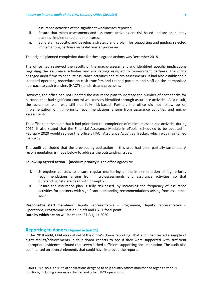assurance activities of the significant weaknesses reported.

- ii. Ensure that micro-assessments and assurance activities are risk-based and are adequately planned, implemented and monitored.
- iii. Build staff capacity, and develop a strategy and a plan, for supporting and guiding selected implementing partners on cash-transfer processes.

The original planned completion date for these agreed actions was December 2018.

The office had reviewed the results of the macro-assessment and identified specific implications regarding the assurance activities and risk ratings assigned to Government partners. The office engaged audit firms to conduct assurance activities and micro-assessments. It had also established a standard operating procedure on cash transfers and trained partners and staff on the harmonized approach to cash transfers (HACT) standards and processes.

However, the office had not updated the assurance plan to increase the number of spot checks for partners that had significant control weaknesses identified through assurance activities. As a result, the assurance plan was still not fully risk-based. Further, the office did not follow up on implementation of high-priority recommendations arising from assurance activities and microassessments.

The office told the audit that it had prioritized the completion of minimum assurance activities during 2019. It also stated that the Financial Assurance Module in eTools<sup>1</sup> scheduled to be adopted in February 2020 would replace the office's HACT Assurance Activities Tracker, which was maintained manually.

The audit concluded that the previous agreed action in this area had been partially sustained. A recommendation is made below to address the outstanding issues.

#### **Follow-up agreed action 1 (medium priority):** The office agrees to:

- i. Strengthen controls to ensure regular monitoring of the implementation of high-priority recommendations arising from micro-assessments and assurance activities, so that outstanding risks are dealt with promptly.
- ii. Ensure the assurance plan is fully risk-based, by increasing the frequency of assurance activities for partners with significant outstanding recommendations arising from assurance work.

**Responsible staff members:** Deputy Representative – Programme, Deputy Representative – Operations, Programme Section Chiefs and HACT focal point **Date by which action will be taken:** 31 August 2020

#### **Reporting to donors (Agreed action 11)**

In the 2018 audit, OIAI was critical of the office's donor reporting. That audit had tested a sample of eight results/achievements in four donor reports to see if they were supported with sufficient appropriate evidence. It found that seven lacked sufficient supporting documentation. The audit also commented on several elements that could have improved the reports.

 $1$  UNICEF's eTools is a suite of applications designed to help country offices monitor and organize various functions, including assurance activities and other HACT operations.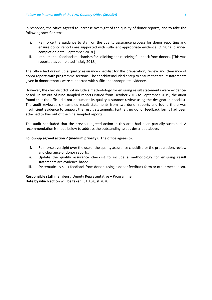In response, the office agreed to increase oversight of the quality of donor reports, and to take the following specific steps:

- i. Reinforce the guidance to staff on the quality assurance process for donor reporting and ensure donor reports are supported with sufficient appropriate evidence. (Original planned completion date: September 2018.)
- ii. Implement a feedback mechanism for soliciting and receiving feedback from donors. (This was reported as completed in July 2018.)

The office had drawn up a quality assurance checklist for the preparation, review and clearance of donor reports with programme sections. The checklist included a step to ensure that result statements given in donor reports were supported with sufficient appropriate evidence.

However, the checklist did not include a methodology for ensuring result statements were evidencebased. In six out of nine sampled reports issued from October 2018 to September 2019, the audit found that the office did not document its quality assurance review using the designated checklist. The audit reviewed six sampled result statements from two donor reports and found there was insufficient evidence to support the result statements. Further, no donor feedback forms had been attached to two out of the nine sampled reports.

The audit concluded that the previous agreed action in this area had been partially sustained. A recommendation is made below to address the outstanding issues described above.

#### **Follow-up agreed action 2 (medium priority):** The office agrees to:

- i. Reinforce oversight over the use of the quality assurance checklist for the preparation, review and clearance of donor reports.
- ii. Update the quality assurance checklist to include a methodology for ensuring result statements are evidence-based.
- iii. Systematically seek feedback from donors using a donor feedback form or other mechanism.

**Responsible staff members:** Deputy Representative – Programme **Date by which action will be taken:** 31 August 2020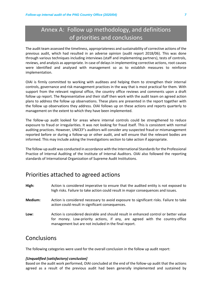### Annex A: Follow up methodology, and definitions of priorities and conclusions

The audit team assessed the timeliness, appropriateness and sustainability of corrective actions of the previous audit, which had resulted in an adverse opinion (audit report 2018/06). This was done through various techniques including interviews (staff and implementing partners), tests of controls, reviews, and analysis as appropriate. In case of delays in implementing corrective actions, root causes were identified and analysed with management so as to establish measures to reinforce implementation.

OIAI is firmly committed to working with auditees and helping them to strengthen their internal controls, governance and risk management practices in the way that is most practical for them. With support from the relevant regional office, the country office reviews and comments upon a draft follow up report. The Representative and their staff then work with the audit team on agreed action plans to address the follow up observations. These plans are presented in the report together with the follow up observations they address. OIAI follows up on these actions and reports quarterly to management on the extent to which they have been implemented.

The follow-up audit looked for areas where internal controls could be strengthened to reduce exposure to fraud or irregularities. It was not looking for fraud itself. This is consistent with normal auditing practices. However, UNICEF's auditors will consider any suspected fraud or mismanagement reported before or during a follow-up or other audit, and will ensure that the relevant bodies are informed. This may include asking the Investigations section to take action if appropriate.

The follow-up audit was conducted in accordance with the International Standards for the Professional Practice of Internal Auditing of the Institute of Internal Auditors. OIAI also followed the reporting standards of International Organization of Supreme Audit Institutions.

### Priorities attached to agreed actions

- **High:** Action is considered imperative to ensure that the audited entity is not exposed to high risks. Failure to take action could result in major consequences and issues.
- **Medium:** Action is considered necessary to avoid exposure to significant risks. Failure to take action could result in significant consequences.
- **Low:** Action is considered desirable and should result in enhanced control or better value for money. Low-priority actions, if any, are agreed with the country-office management but are not included in the final report.

### **Conclusions**

The following categories were used for the overall conclusion in the follow up audit report:

#### *[Unqualified (satisfactory) conclusion]*

Based on the audit work performed, OIAI concluded at the end of the follow-up audit that the actions agreed as a result of the previous audit had been generally implemented and sustained by